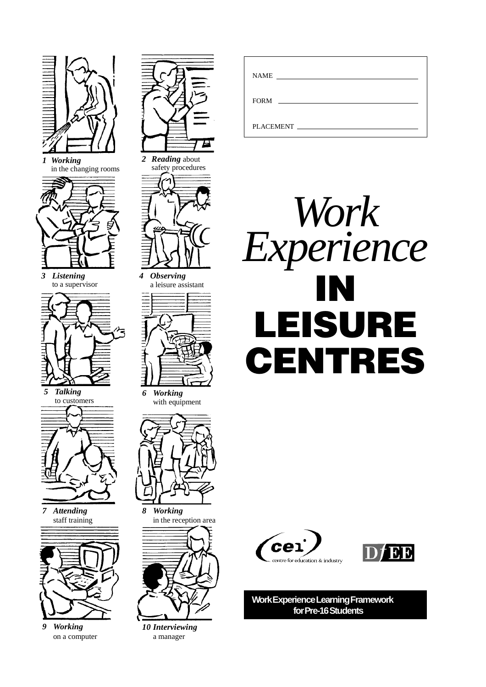

*1 Working* in the changing rooms



*3 Listening* to a supervisor



*5 Talking* to customers



*7 Attending* staff training



*9 Working* on a computer





*4 Observing* a leisure assistant



*6 Working* with equipment



*8 Working* in the reception area



*10 Interviewing* a manager

| <b>NAME</b>                                           |
|-------------------------------------------------------|
| FORM<br><u> 1989 - Andrea Andrew Maria (h. 1989).</u> |
|                                                       |
| PLACEMENT                                             |







**Work Experience Learning Framework for Pre-16 Students**